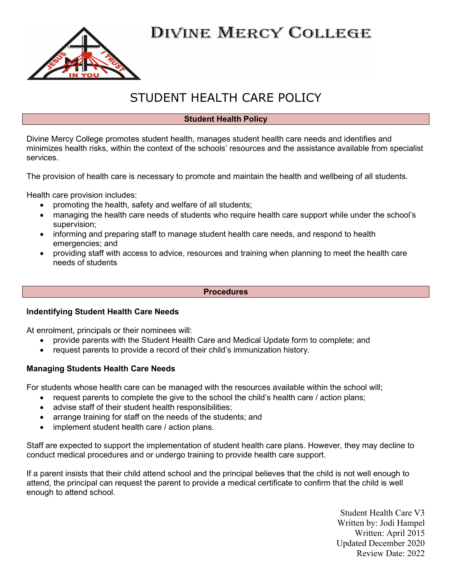

## STUDENT HEALTH CARE POLICY

#### Student Health Policy

Divine Mercy College promotes student health, manages student health care needs and identifies and minimizes health risks, within the context of the schools' resources and the assistance available from specialist services.

The provision of health care is necessary to promote and maintain the health and wellbeing of all students.

Health care provision includes:

- promoting the health, safety and welfare of all students;
- managing the health care needs of students who require health care support while under the school's supervision;
- informing and preparing staff to manage student health care needs, and respond to health emergencies; and
- providing staff with access to advice, resources and training when planning to meet the health care needs of students

#### **Procedures**

#### Indentifying Student Health Care Needs

At enrolment, principals or their nominees will:

- provide parents with the Student Health Care and Medical Update form to complete; and
- request parents to provide a record of their child's immunization history.

#### Managing Students Health Care Needs

For students whose health care can be managed with the resources available within the school will;

- request parents to complete the give to the school the child's health care / action plans;
- advise staff of their student health responsibilities:
- arrange training for staff on the needs of the students; and
- implement student health care / action plans.

Staff are expected to support the implementation of student health care plans. However, they may decline to conduct medical procedures and or undergo training to provide health care support.

If a parent insists that their child attend school and the principal believes that the child is not well enough to attend, the principal can request the parent to provide a medical certificate to confirm that the child is well enough to attend school.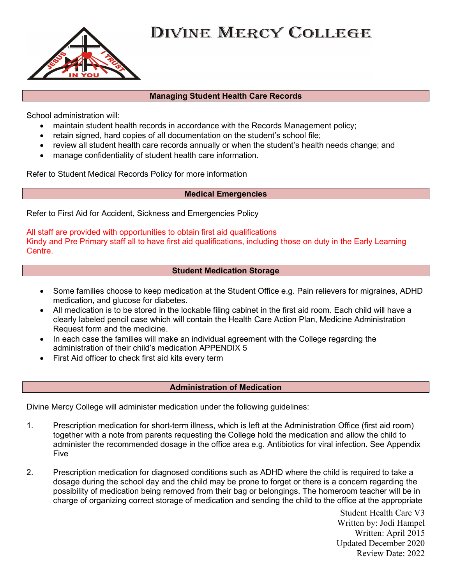

#### Managing Student Health Care Records

School administration will:

- maintain student health records in accordance with the Records Management policy;
- retain signed, hard copies of all documentation on the student's school file;
- review all student health care records annually or when the student's health needs change; and
- manage confidentiality of student health care information.

Refer to Student Medical Records Policy for more information

#### Medical Emergencies

Refer to First Aid for Accident, Sickness and Emergencies Policy

All staff are provided with opportunities to obtain first aid qualifications Kindy and Pre Primary staff all to have first aid qualifications, including those on duty in the Early Learning Centre.

#### Student Medication Storage

- Some families choose to keep medication at the Student Office e.g. Pain relievers for migraines, ADHD medication, and glucose for diabetes.
- All medication is to be stored in the lockable filing cabinet in the first aid room. Each child will have a clearly labeled pencil case which will contain the Health Care Action Plan, Medicine Administration Request form and the medicine.
- In each case the families will make an individual agreement with the College regarding the administration of their child's medication APPENDIX 5
- First Aid officer to check first aid kits every term

#### Administration of Medication

Divine Mercy College will administer medication under the following guidelines:

- 1. Prescription medication for short-term illness, which is left at the Administration Office (first aid room) together with a note from parents requesting the College hold the medication and allow the child to administer the recommended dosage in the office area e.g. Antibiotics for viral infection. See Appendix Five
- 2. Prescription medication for diagnosed conditions such as ADHD where the child is required to take a dosage during the school day and the child may be prone to forget or there is a concern regarding the possibility of medication being removed from their bag or belongings. The homeroom teacher will be in charge of organizing correct storage of medication and sending the child to the office at the appropriate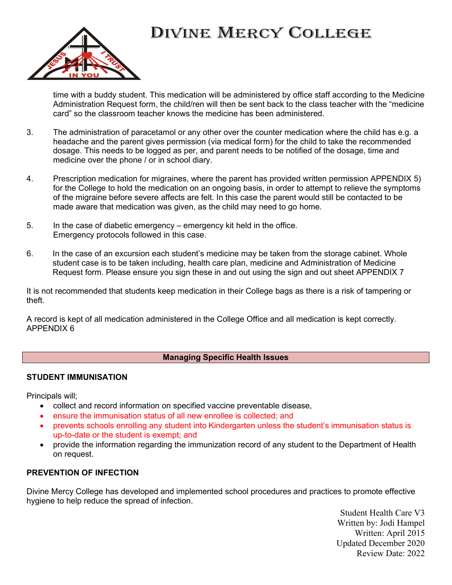

time with a buddy student. This medication will be administered by office staff according to the Medicine Administration Request form, the child/ren will then be sent back to the class teacher with the "medicine card" so the classroom teacher knows the medicine has been administered.

- 3. The administration of paracetamol or any other over the counter medication where the child has e.g. a headache and the parent gives permission (via medical form) for the child to take the recommended dosage. This needs to be logged as per, and parent needs to be notified of the dosage, time and medicine over the phone / or in school diary.
- 4. Prescription medication for migraines, where the parent has provided written permission APPENDIX 5) for the College to hold the medication on an ongoing basis, in order to attempt to relieve the symptoms of the migraine before severe affects are felt. In this case the parent would still be contacted to be made aware that medication was given, as the child may need to go home.
- 5. In the case of diabetic emergency emergency kit held in the office. Emergency protocols followed in this case.
- 6. In the case of an excursion each student's medicine may be taken from the storage cabinet. Whole student case is to be taken including, health care plan, medicine and Administration of Medicine Request form. Please ensure you sign these in and out using the sign and out sheet APPENDIX 7

It is not recommended that students keep medication in their College bags as there is a risk of tampering or theft.

A record is kept of all medication administered in the College Office and all medication is kept correctly. APPENDIX 6

#### Managing Specific Health Issues

#### STUDENT IMMUNISATION

Principals will;

- collect and record information on specified vaccine preventable disease,
- ensure the immunisation status of all new enrollee is collected; and
- prevents schools enrolling any student into Kindergarten unless the student's immunisation status is up-to-date or the student is exempt; and
- provide the information regarding the immunization record of any student to the Department of Health on request.

#### PREVENTION OF INFECTION

Divine Mercy College has developed and implemented school procedures and practices to promote effective hygiene to help reduce the spread of infection.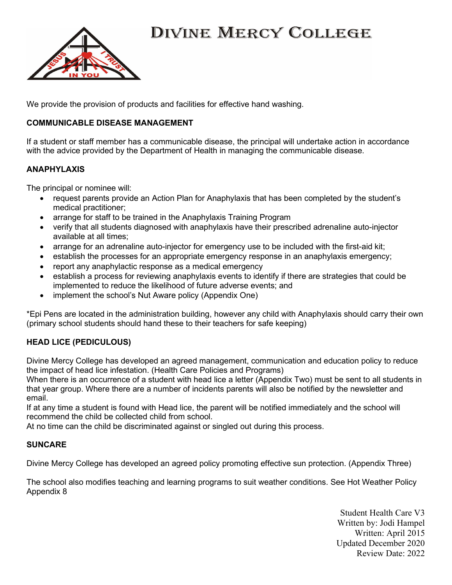

We provide the provision of products and facilities for effective hand washing.

#### COMMUNICABLE DISEASE MANAGEMENT

If a student or staff member has a communicable disease, the principal will undertake action in accordance with the advice provided by the Department of Health in managing the communicable disease.

#### **ANAPHYLAXIS**

The principal or nominee will:

- request parents provide an Action Plan for Anaphylaxis that has been completed by the student's medical practitioner;
- arrange for staff to be trained in the Anaphylaxis Training Program
- verify that all students diagnosed with anaphylaxis have their prescribed adrenaline auto-injector available at all times;
- arrange for an adrenaline auto-injector for emergency use to be included with the first-aid kit;
- establish the processes for an appropriate emergency response in an anaphylaxis emergency;
- report any anaphylactic response as a medical emergency
- establish a process for reviewing anaphylaxis events to identify if there are strategies that could be implemented to reduce the likelihood of future adverse events; and
- implement the school's Nut Aware policy (Appendix One)

\*Epi Pens are located in the administration building, however any child with Anaphylaxis should carry their own (primary school students should hand these to their teachers for safe keeping)

#### HEAD LICE (PEDICULOUS)

Divine Mercy College has developed an agreed management, communication and education policy to reduce the impact of head lice infestation. (Health Care Policies and Programs)

When there is an occurrence of a student with head lice a letter (Appendix Two) must be sent to all students in that year group. Where there are a number of incidents parents will also be notified by the newsletter and email.

If at any time a student is found with Head lice, the parent will be notified immediately and the school will recommend the child be collected child from school.

At no time can the child be discriminated against or singled out during this process.

#### SUNCARE

Divine Mercy College has developed an agreed policy promoting effective sun protection. (Appendix Three)

The school also modifies teaching and learning programs to suit weather conditions. See Hot Weather Policy Appendix 8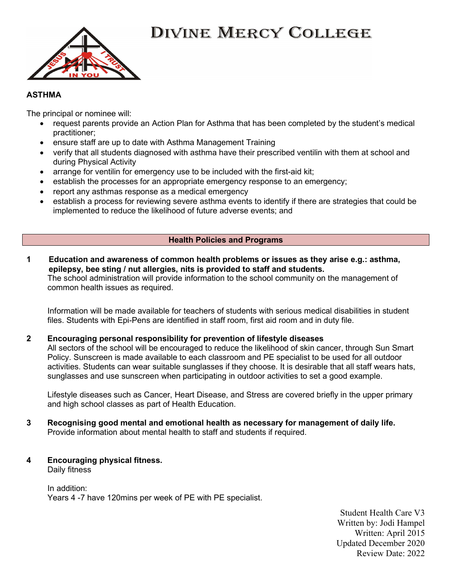



#### **ASTHMA**

The principal or nominee will:

- request parents provide an Action Plan for Asthma that has been completed by the student's medical practitioner;
- ensure staff are up to date with Asthma Management Training
- verify that all students diagnosed with asthma have their prescribed ventilin with them at school and during Physical Activity
- arrange for ventilin for emergency use to be included with the first-aid kit;
- establish the processes for an appropriate emergency response to an emergency;
- report any asthmas response as a medical emergency
- establish a process for reviewing severe asthma events to identify if there are strategies that could be implemented to reduce the likelihood of future adverse events; and

#### Health Policies and Programs

1 Education and awareness of common health problems or issues as they arise e.g.: asthma, epilepsy, bee sting / nut allergies, nits is provided to staff and students. The school administration will provide information to the school community on the management of common health issues as required.

 Information will be made available for teachers of students with serious medical disabilities in student files. Students with Epi-Pens are identified in staff room, first aid room and in duty file.

#### 2 Encouraging personal responsibility for prevention of lifestyle diseases

 All sectors of the school will be encouraged to reduce the likelihood of skin cancer, through Sun Smart Policy. Sunscreen is made available to each classroom and PE specialist to be used for all outdoor activities. Students can wear suitable sunglasses if they choose. It is desirable that all staff wears hats, sunglasses and use sunscreen when participating in outdoor activities to set a good example.

 Lifestyle diseases such as Cancer, Heart Disease, and Stress are covered briefly in the upper primary and high school classes as part of Health Education.

- 3 Recognising good mental and emotional health as necessary for management of daily life. Provide information about mental health to staff and students if required.
- 4 Encouraging physical fitness.

Daily fitness

 In addition: Years 4 -7 have 120mins per week of PE with PE specialist.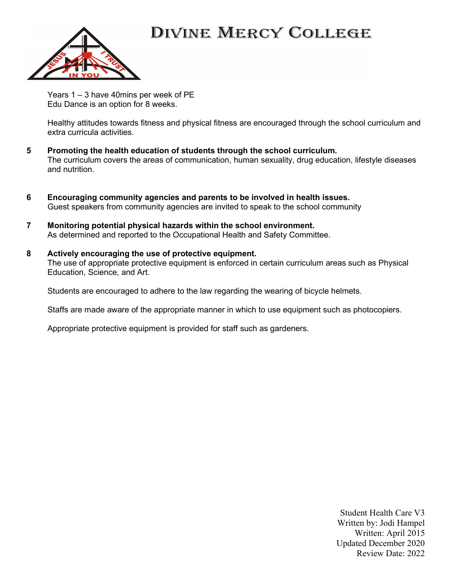

 Years 1 – 3 have 40mins per week of PE Edu Dance is an option for 8 weeks.

 Healthy attitudes towards fitness and physical fitness are encouraged through the school curriculum and extra curricula activities.

- 5 Promoting the health education of students through the school curriculum. The curriculum covers the areas of communication, human sexuality, drug education, lifestyle diseases and nutrition.
- 6 Encouraging community agencies and parents to be involved in health issues. Guest speakers from community agencies are invited to speak to the school community
- 7 Monitoring potential physical hazards within the school environment. As determined and reported to the Occupational Health and Safety Committee.
- 8 Actively encouraging the use of protective equipment. The use of appropriate protective equipment is enforced in certain curriculum areas such as Physical Education, Science, and Art.

Students are encouraged to adhere to the law regarding the wearing of bicycle helmets.

Staffs are made aware of the appropriate manner in which to use equipment such as photocopiers.

Appropriate protective equipment is provided for staff such as gardeners.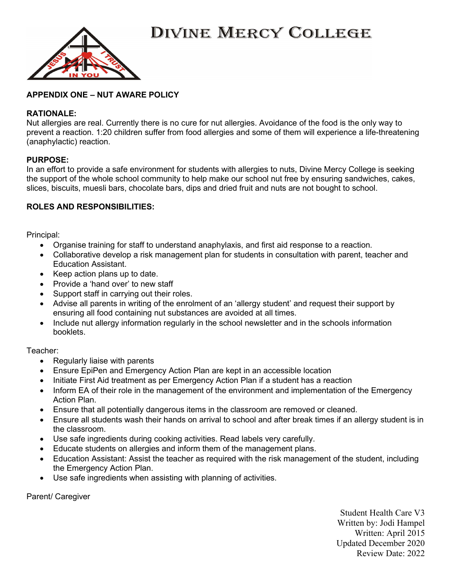



#### APPENDIX ONE – NUT AWARE POLICY

#### RATIONALE:

Nut allergies are real. Currently there is no cure for nut allergies. Avoidance of the food is the only way to prevent a reaction. 1:20 children suffer from food allergies and some of them will experience a life-threatening (anaphylactic) reaction.

#### PURPOSE:

In an effort to provide a safe environment for students with allergies to nuts, Divine Mercy College is seeking the support of the whole school community to help make our school nut free by ensuring sandwiches, cakes, slices, biscuits, muesli bars, chocolate bars, dips and dried fruit and nuts are not bought to school.

#### ROLES AND RESPONSIBILITIES:

Principal:

- Organise training for staff to understand anaphylaxis, and first aid response to a reaction.
- Collaborative develop a risk management plan for students in consultation with parent, teacher and Education Assistant.
- Keep action plans up to date.
- Provide a 'hand over' to new staff
- Support staff in carrying out their roles.
- Advise all parents in writing of the enrolment of an 'allergy student' and request their support by ensuring all food containing nut substances are avoided at all times.
- Include nut allergy information regularly in the school newsletter and in the schools information booklets.

Teacher:

- Regularly liaise with parents
- Ensure EpiPen and Emergency Action Plan are kept in an accessible location
- Initiate First Aid treatment as per Emergency Action Plan if a student has a reaction
- Inform EA of their role in the management of the environment and implementation of the Emergency Action Plan.
- Ensure that all potentially dangerous items in the classroom are removed or cleaned.
- Ensure all students wash their hands on arrival to school and after break times if an allergy student is in the classroom.
- Use safe ingredients during cooking activities. Read labels very carefully.
- Educate students on allergies and inform them of the management plans.
- Education Assistant: Assist the teacher as required with the risk management of the student, including the Emergency Action Plan.
- Use safe ingredients when assisting with planning of activities.

Parent/ Caregiver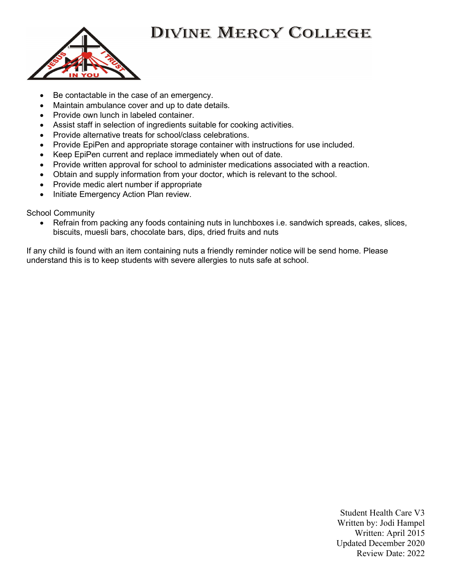

- Be contactable in the case of an emergency.
- Maintain ambulance cover and up to date details.
- Provide own lunch in labeled container.
- Assist staff in selection of ingredients suitable for cooking activities.
- Provide alternative treats for school/class celebrations.
- Provide EpiPen and appropriate storage container with instructions for use included.
- Keep EpiPen current and replace immediately when out of date.
- Provide written approval for school to administer medications associated with a reaction.
- Obtain and supply information from your doctor, which is relevant to the school.
- Provide medic alert number if appropriate
- Initiate Emergency Action Plan review.

School Community

 Refrain from packing any foods containing nuts in lunchboxes i.e. sandwich spreads, cakes, slices, biscuits, muesli bars, chocolate bars, dips, dried fruits and nuts

If any child is found with an item containing nuts a friendly reminder notice will be send home. Please understand this is to keep students with severe allergies to nuts safe at school.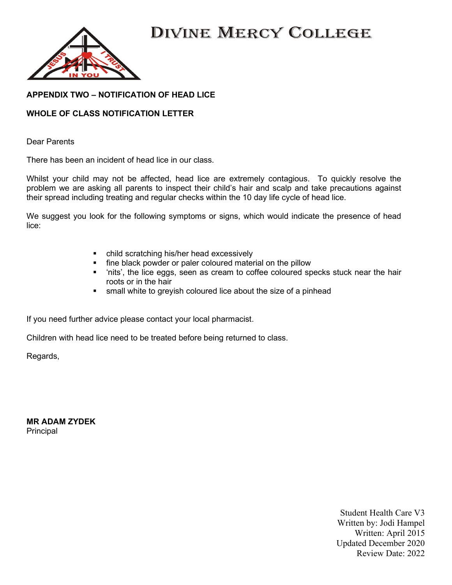

#### APPENDIX TWO – NOTIFICATION OF HEAD LICE

#### WHOLE OF CLASS NOTIFICATION LETTER

Dear Parents

There has been an incident of head lice in our class.

Whilst your child may not be affected, head lice are extremely contagious. To quickly resolve the problem we are asking all parents to inspect their child's hair and scalp and take precautions against their spread including treating and regular checks within the 10 day life cycle of head lice.

We suggest you look for the following symptoms or signs, which would indicate the presence of head lice:

- child scratching his/her head excessively
- **fine black powder or paler coloured material on the pillow**
- 'nits', the lice eggs, seen as cream to coffee coloured specks stuck near the hair roots or in the hair
- **shift** small white to greyish coloured lice about the size of a pinhead

If you need further advice please contact your local pharmacist.

Children with head lice need to be treated before being returned to class.

Regards,

MR ADAM ZYDEK Principal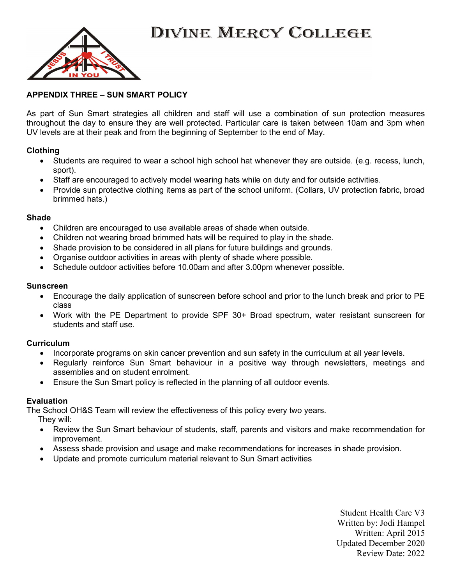

#### APPENDIX THREE – SUN SMART POLICY

As part of Sun Smart strategies all children and staff will use a combination of sun protection measures throughout the day to ensure they are well protected. Particular care is taken between 10am and 3pm when UV levels are at their peak and from the beginning of September to the end of May.

#### Clothing

- Students are required to wear a school high school hat whenever they are outside. (e.g. recess, lunch, sport).
- Staff are encouraged to actively model wearing hats while on duty and for outside activities.
- Provide sun protective clothing items as part of the school uniform. (Collars, UV protection fabric, broad brimmed hats.)

#### Shade

- Children are encouraged to use available areas of shade when outside.
- Children not wearing broad brimmed hats will be required to play in the shade.
- Shade provision to be considered in all plans for future buildings and grounds.
- Organise outdoor activities in areas with plenty of shade where possible.
- Schedule outdoor activities before 10.00am and after 3.00pm whenever possible.

#### Sunscreen

- Encourage the daily application of sunscreen before school and prior to the lunch break and prior to PE class
- Work with the PE Department to provide SPF 30+ Broad spectrum, water resistant sunscreen for students and staff use.

#### **Curriculum**

- Incorporate programs on skin cancer prevention and sun safety in the curriculum at all year levels.
- Regularly reinforce Sun Smart behaviour in a positive way through newsletters, meetings and assemblies and on student enrolment.
- Ensure the Sun Smart policy is reflected in the planning of all outdoor events.

#### Evaluation

The School OH&S Team will review the effectiveness of this policy every two years.

They will:

- Review the Sun Smart behaviour of students, staff, parents and visitors and make recommendation for improvement.
- Assess shade provision and usage and make recommendations for increases in shade provision.
- Update and promote curriculum material relevant to Sun Smart activities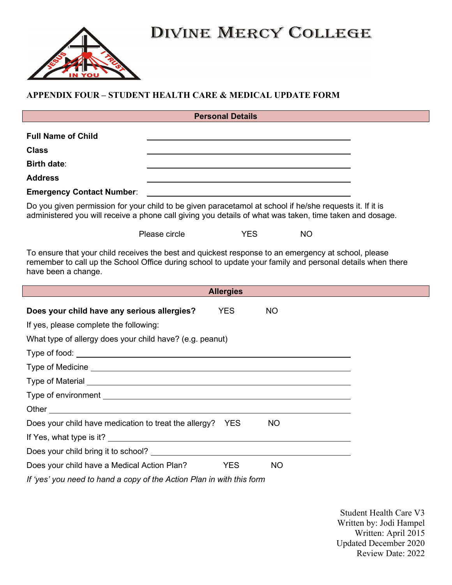

### APPENDIX FOUR – STUDENT HEALTH CARE & MEDICAL UPDATE FORM

| <b>Personal Details</b>   |                                                                                                          |  |  |  |
|---------------------------|----------------------------------------------------------------------------------------------------------|--|--|--|
| <b>Full Name of Child</b> |                                                                                                          |  |  |  |
| <b>Class</b>              |                                                                                                          |  |  |  |
| <b>Birth date:</b>        |                                                                                                          |  |  |  |
| <b>Address</b>            |                                                                                                          |  |  |  |
|                           |                                                                                                          |  |  |  |
|                           | Do you given permission for your child to be given paracetamol at school if he/she requests it. If it is |  |  |  |

administered you will receive a phone call giving you details of what was taken, time taken and dosage.

Please circle **YES** NO

To ensure that your child receives the best and quickest response to an emergency at school, please remember to call up the School Office during school to update your family and personal details when there have been a change.

| <b>Allergies</b>                                                      |            |           |  |  |
|-----------------------------------------------------------------------|------------|-----------|--|--|
| Does your child have any serious allergies?                           | <b>YES</b> | <b>NO</b> |  |  |
| If yes, please complete the following:                                |            |           |  |  |
| What type of allergy does your child have? (e.g. peanut)              |            |           |  |  |
|                                                                       |            |           |  |  |
|                                                                       |            |           |  |  |
|                                                                       |            |           |  |  |
|                                                                       |            |           |  |  |
|                                                                       |            |           |  |  |
| Does your child have medication to treat the allergy? YES             |            | <b>NO</b> |  |  |
|                                                                       |            |           |  |  |
|                                                                       |            |           |  |  |
| Does your child have a Medical Action Plan?                           | <b>YES</b> | <b>NO</b> |  |  |
| If 'yes' you need to hand a copy of the Action Plan in with this form |            |           |  |  |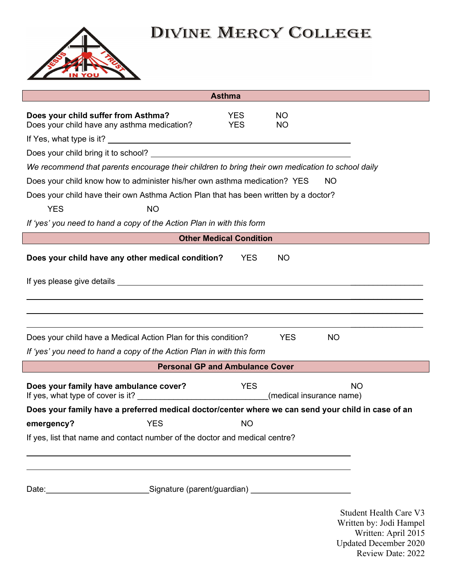

|                                                                                                                                                                                                                                     | <b>Asthma</b>                          |                        |                                                                                                                                      |
|-------------------------------------------------------------------------------------------------------------------------------------------------------------------------------------------------------------------------------------|----------------------------------------|------------------------|--------------------------------------------------------------------------------------------------------------------------------------|
| Does your child suffer from Asthma?<br>Does your child have any asthma medication?                                                                                                                                                  | <b>YES</b><br><b>YES</b>               | <b>NO</b><br><b>NO</b> |                                                                                                                                      |
|                                                                                                                                                                                                                                     |                                        |                        |                                                                                                                                      |
|                                                                                                                                                                                                                                     |                                        |                        |                                                                                                                                      |
| We recommend that parents encourage their children to bring their own medication to school daily                                                                                                                                    |                                        |                        |                                                                                                                                      |
| Does your child know how to administer his/her own asthma medication? YES                                                                                                                                                           |                                        |                        | <b>NO</b>                                                                                                                            |
| Does your child have their own Asthma Action Plan that has been written by a doctor?                                                                                                                                                |                                        |                        |                                                                                                                                      |
| <b>YES</b><br><b>NO</b>                                                                                                                                                                                                             |                                        |                        |                                                                                                                                      |
| If 'yes' you need to hand a copy of the Action Plan in with this form                                                                                                                                                               |                                        |                        |                                                                                                                                      |
|                                                                                                                                                                                                                                     | <b>Other Medical Condition</b>         |                        |                                                                                                                                      |
| Does your child have any other medical condition?                                                                                                                                                                                   | <b>YES</b>                             | <b>NO</b>              |                                                                                                                                      |
| If yes please give details expression of the state of the state of the state of the state of the state of the                                                                                                                       |                                        |                        |                                                                                                                                      |
|                                                                                                                                                                                                                                     |                                        |                        |                                                                                                                                      |
|                                                                                                                                                                                                                                     |                                        |                        |                                                                                                                                      |
| Does your child have a Medical Action Plan for this condition?                                                                                                                                                                      |                                        | <b>YES</b>             | NO.                                                                                                                                  |
| If 'yes' you need to hand a copy of the Action Plan in with this form                                                                                                                                                               |                                        |                        |                                                                                                                                      |
|                                                                                                                                                                                                                                     | <b>Personal GP and Ambulance Cover</b> |                        |                                                                                                                                      |
| Does your family have ambulance cover?                                                                                                                                                                                              | <b>YES</b>                             |                        | <b>NO</b><br>(medical insurance name)                                                                                                |
| Does your family have a preferred medical doctor/center where we can send your child in case of an                                                                                                                                  |                                        |                        |                                                                                                                                      |
| <b>YES</b><br>emergency?                                                                                                                                                                                                            | <b>NO</b>                              |                        |                                                                                                                                      |
| If yes, list that name and contact number of the doctor and medical centre?                                                                                                                                                         |                                        |                        |                                                                                                                                      |
|                                                                                                                                                                                                                                     |                                        |                        |                                                                                                                                      |
|                                                                                                                                                                                                                                     |                                        |                        |                                                                                                                                      |
| Date: <u>New Signature</u> (parent/guardian) Mate: New York: New York: New York: New York: New York: New York: New York: New York: New York: New York: New York: New York: New York: New York: New York: New York: New York: New Yo |                                        |                        |                                                                                                                                      |
|                                                                                                                                                                                                                                     |                                        |                        | <b>Student Health Care V3</b><br>Written by: Jodi Hampel<br>Written: April 2015<br><b>Updated December 2020</b><br>Review Date: 2022 |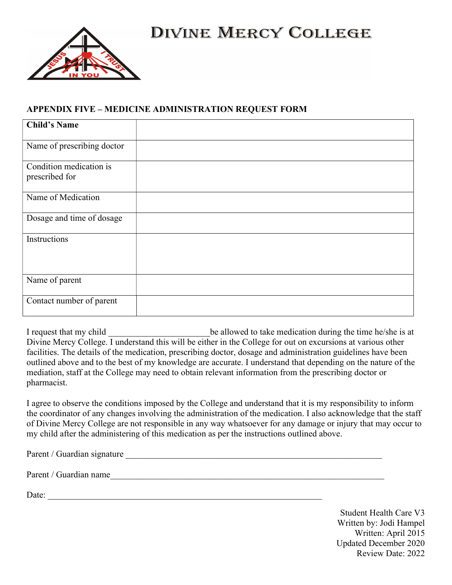

### APPENDIX FIVE – MEDICINE ADMINISTRATION REQUEST FORM

| <b>Child's Name</b>                       |  |
|-------------------------------------------|--|
| Name of prescribing doctor                |  |
| Condition medication is<br>prescribed for |  |
| Name of Medication                        |  |
| Dosage and time of dosage                 |  |
| Instructions                              |  |
| Name of parent                            |  |
| Contact number of parent                  |  |

I request that my child \_\_\_\_\_\_\_\_\_\_\_\_\_\_\_\_\_\_\_\_\_\_\_be allowed to take medication during the time he/she is at Divine Mercy College. I understand this will be either in the College for out on excursions at various other facilities. The details of the medication, prescribing doctor, dosage and administration guidelines have been outlined above and to the best of my knowledge are accurate. I understand that depending on the nature of the mediation, staff at the College may need to obtain relevant information from the prescribing doctor or pharmacist.

I agree to observe the conditions imposed by the College and understand that it is my responsibility to inform the coordinator of any changes involving the administration of the medication. I also acknowledge that the staff of Divine Mercy College are not responsible in any way whatsoever for any damage or injury that may occur to my child after the administering of this medication as per the instructions outlined above.

Parent / Guardian signature

Parent / Guardian name

Date:  $\frac{1}{2}$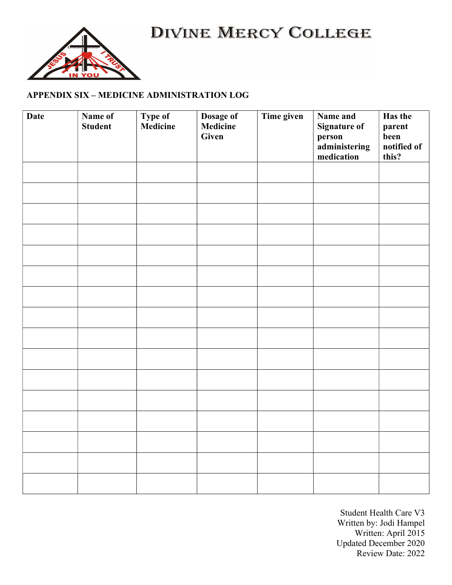

## APPENDIX SIX – MEDICINE ADMINISTRATION LOG

| <b>Date</b> | Name of<br><b>Student</b> | <b>Type of</b><br>Medicine | Dosage of<br>Medicine<br>Given | Time given | Name and<br><b>Signature of</b><br>person<br>administering<br>medication | Has the<br>parent<br>been<br>notified of<br>this? |
|-------------|---------------------------|----------------------------|--------------------------------|------------|--------------------------------------------------------------------------|---------------------------------------------------|
|             |                           |                            |                                |            |                                                                          |                                                   |
|             |                           |                            |                                |            |                                                                          |                                                   |
|             |                           |                            |                                |            |                                                                          |                                                   |
|             |                           |                            |                                |            |                                                                          |                                                   |
|             |                           |                            |                                |            |                                                                          |                                                   |
|             |                           |                            |                                |            |                                                                          |                                                   |
|             |                           |                            |                                |            |                                                                          |                                                   |
|             |                           |                            |                                |            |                                                                          |                                                   |
|             |                           |                            |                                |            |                                                                          |                                                   |
|             |                           |                            |                                |            |                                                                          |                                                   |
|             |                           |                            |                                |            |                                                                          |                                                   |
|             |                           |                            |                                |            |                                                                          |                                                   |
|             |                           |                            |                                |            |                                                                          |                                                   |
|             |                           |                            |                                |            |                                                                          |                                                   |
|             |                           |                            |                                |            |                                                                          |                                                   |
|             |                           |                            |                                |            |                                                                          |                                                   |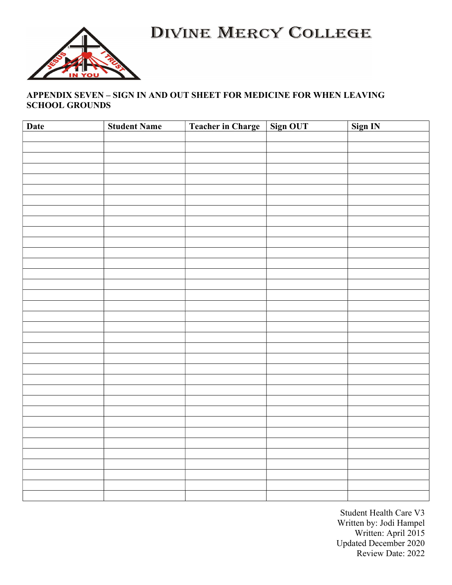

### APPENDIX SEVEN – SIGN IN AND OUT SHEET FOR MEDICINE FOR WHEN LEAVING SCHOOL GROUNDS

| <b>Date</b> | <b>Student Name</b> | Teacher in Charge Sign OUT | Sign IN |
|-------------|---------------------|----------------------------|---------|
|             |                     |                            |         |
|             |                     |                            |         |
|             |                     |                            |         |
|             |                     |                            |         |
|             |                     |                            |         |
|             |                     |                            |         |
|             |                     |                            |         |
|             |                     |                            |         |
|             |                     |                            |         |
|             |                     |                            |         |
|             |                     |                            |         |
|             |                     |                            |         |
|             |                     |                            |         |
|             |                     |                            |         |
|             |                     |                            |         |
|             |                     |                            |         |
|             |                     |                            |         |
|             |                     |                            |         |
|             |                     |                            |         |
|             |                     |                            |         |
|             |                     |                            |         |
|             |                     |                            |         |
|             |                     |                            |         |
|             |                     |                            |         |
|             |                     |                            |         |
|             |                     |                            |         |
|             |                     |                            |         |
|             |                     |                            |         |
|             |                     |                            |         |
|             |                     |                            |         |
|             |                     |                            |         |
|             |                     |                            |         |
|             |                     |                            |         |
|             |                     |                            |         |
|             |                     |                            |         |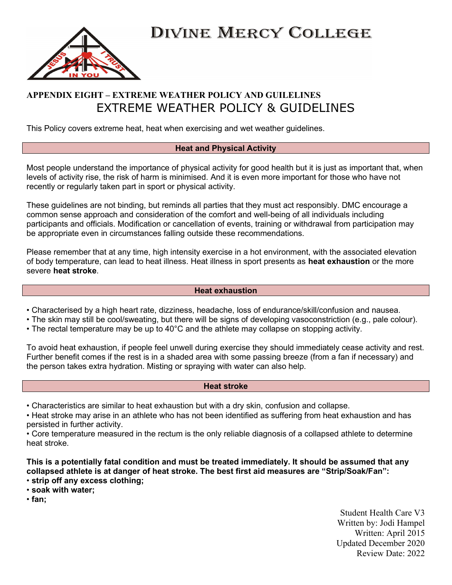

## APPENDIX EIGHT – EXTREME WEATHER POLICY AND GUILELINES EXTREME WEATHER POLICY & GUIDELINES

This Policy covers extreme heat, heat when exercising and wet weather guidelines.

#### Heat and Physical Activity

Most people understand the importance of physical activity for good health but it is just as important that, when levels of activity rise, the risk of harm is minimised. And it is even more important for those who have not recently or regularly taken part in sport or physical activity.

These guidelines are not binding, but reminds all parties that they must act responsibly. DMC encourage a common sense approach and consideration of the comfort and well-being of all individuals including participants and officials. Modification or cancellation of events, training or withdrawal from participation may be appropriate even in circumstances falling outside these recommendations.

Please remember that at any time, high intensity exercise in a hot environment, with the associated elevation of body temperature, can lead to heat illness. Heat illness in sport presents as heat exhaustion or the more severe heat stroke.

#### Heat exhaustion

- Characterised by a high heart rate, dizziness, headache, loss of endurance/skill/confusion and nausea.
- The skin may still be cool/sweating, but there will be signs of developing vasoconstriction (e.g., pale colour).
- The rectal temperature may be up to 40°C and the athlete may collapse on stopping activity.

To avoid heat exhaustion, if people feel unwell during exercise they should immediately cease activity and rest. Further benefit comes if the rest is in a shaded area with some passing breeze (from a fan if necessary) and the person takes extra hydration. Misting or spraying with water can also help.

#### Heat stroke

• Characteristics are similar to heat exhaustion but with a dry skin, confusion and collapse.

• Heat stroke may arise in an athlete who has not been identified as suffering from heat exhaustion and has persisted in further activity.

• Core temperature measured in the rectum is the only reliable diagnosis of a collapsed athlete to determine heat stroke.

This is a potentially fatal condition and must be treated immediately. It should be assumed that any collapsed athlete is at danger of heat stroke. The best first aid measures are "Strip/Soak/Fan": • strip off any excess clothing;

• soak with water;

• fan;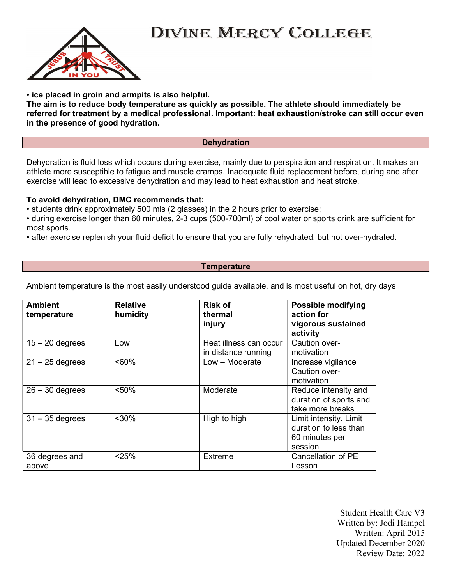

• ice placed in groin and armpits is also helpful.

The aim is to reduce body temperature as quickly as possible. The athlete should immediately be referred for treatment by a medical professional. Important: heat exhaustion/stroke can still occur even in the presence of good hydration.

#### **Dehydration**

Dehydration is fluid loss which occurs during exercise, mainly due to perspiration and respiration. It makes an athlete more susceptible to fatigue and muscle cramps. Inadequate fluid replacement before, during and after exercise will lead to excessive dehydration and may lead to heat exhaustion and heat stroke.

#### To avoid dehydration, DMC recommends that:

• students drink approximately 500 mls (2 glasses) in the 2 hours prior to exercise;

• during exercise longer than 60 minutes, 2-3 cups (500-700ml) of cool water or sports drink are sufficient for most sports.

• after exercise replenish your fluid deficit to ensure that you are fully rehydrated, but not over-hydrated.

#### **Temperature**

Ambient temperature is the most easily understood guide available, and is most useful on hot, dry days

| <b>Ambient</b><br>temperature | <b>Relative</b><br>humidity | <b>Risk of</b><br>thermal                     | <b>Possible modifying</b><br>action for                                      |
|-------------------------------|-----------------------------|-----------------------------------------------|------------------------------------------------------------------------------|
|                               |                             | injury                                        | vigorous sustained<br>activity                                               |
| $15 - 20$ degrees             | Low                         | Heat illness can occur<br>in distance running | Caution over-<br>motivation                                                  |
| $21 - 25$ degrees             | $~50\%$                     | Low - Moderate                                | Increase vigilance<br>Caution over-<br>motivation                            |
| $26 - 30$ degrees             | < 50%                       | Moderate                                      | Reduce intensity and<br>duration of sports and<br>take more breaks           |
| $31 - 35$ degrees             | $30%$                       | High to high                                  | Limit intensity. Limit<br>duration to less than<br>60 minutes per<br>session |
| 36 degrees and<br>above       | < 25%                       | <b>Extreme</b>                                | <b>Cancellation of PE</b><br>Lesson                                          |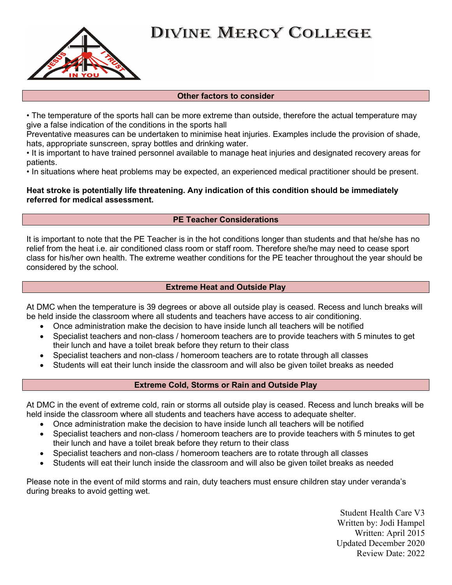

#### Other factors to consider

• The temperature of the sports hall can be more extreme than outside, therefore the actual temperature may give a false indication of the conditions in the sports hall

Preventative measures can be undertaken to minimise heat injuries. Examples include the provision of shade, hats, appropriate sunscreen, spray bottles and drinking water.

• It is important to have trained personnel available to manage heat injuries and designated recovery areas for patients.

• In situations where heat problems may be expected, an experienced medical practitioner should be present.

Heat stroke is potentially life threatening. Any indication of this condition should be immediately referred for medical assessment.

#### PE Teacher Considerations

It is important to note that the PE Teacher is in the hot conditions longer than students and that he/she has no relief from the heat i.e. air conditioned class room or staff room. Therefore she/he may need to cease sport class for his/her own health. The extreme weather conditions for the PE teacher throughout the year should be considered by the school.

#### Extreme Heat and Outside Play

At DMC when the temperature is 39 degrees or above all outside play is ceased. Recess and lunch breaks will be held inside the classroom where all students and teachers have access to air conditioning.

- Once administration make the decision to have inside lunch all teachers will be notified
- Specialist teachers and non-class / homeroom teachers are to provide teachers with 5 minutes to get their lunch and have a toilet break before they return to their class
- Specialist teachers and non-class / homeroom teachers are to rotate through all classes
- Students will eat their lunch inside the classroom and will also be given toilet breaks as needed

#### Extreme Cold, Storms or Rain and Outside Play

At DMC in the event of extreme cold, rain or storms all outside play is ceased. Recess and lunch breaks will be held inside the classroom where all students and teachers have access to adequate shelter.

- Once administration make the decision to have inside lunch all teachers will be notified
- Specialist teachers and non-class / homeroom teachers are to provide teachers with 5 minutes to get their lunch and have a toilet break before they return to their class
- Specialist teachers and non-class / homeroom teachers are to rotate through all classes
- Students will eat their lunch inside the classroom and will also be given toilet breaks as needed

Please note in the event of mild storms and rain, duty teachers must ensure children stay under veranda's during breaks to avoid getting wet.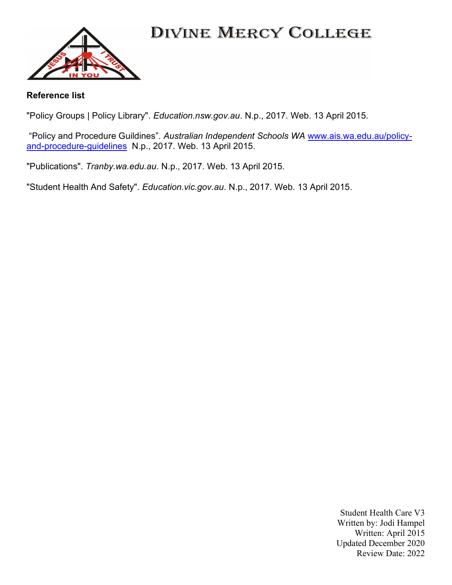

#### Reference list

"Policy Groups | Policy Library". Education.nsw.gov.au. N.p., 2017. Web. 13 April 2015.

"Policy and Procedure Guildines". Australian Independent Schools WA www.ais.wa.edu.au/policyand-procedure-guidelines N.p., 2017. Web. 13 April 2015.

"Publications". Tranby.wa.edu.au. N.p., 2017. Web. 13 April 2015.

"Student Health And Safety". Education.vic.gov.au. N.p., 2017. Web. 13 April 2015.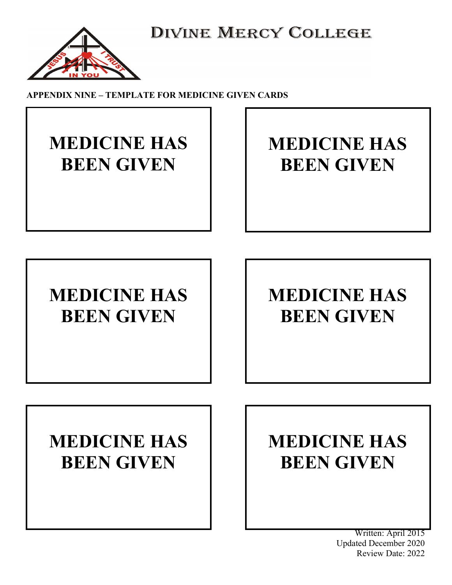

APPENDIX NINE – TEMPLATE FOR MEDICINE GIVEN CARDS

# MEDICINE HAS BEEN GIVEN

# MEDICINE HAS BEEN GIVEN

# MEDICINE HAS BEEN GIVEN

 $\overline{\phantom{a}}$ 

# MEDICINE HAS BEEN GIVEN

# MEDICINE HAS BEEN GIVEN

# MEDICINE HAS BEEN GIVEN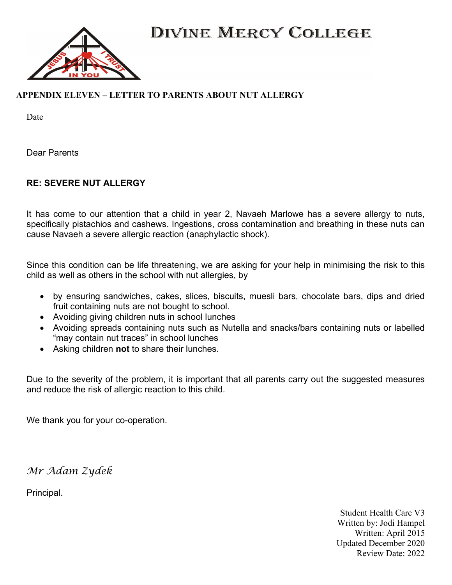

### APPENDIX ELEVEN – LETTER TO PARENTS ABOUT NUT ALLERGY

Date

Dear Parents

### RE: SEVERE NUT ALLERGY

It has come to our attention that a child in year 2, Navaeh Marlowe has a severe allergy to nuts, specifically pistachios and cashews. Ingestions, cross contamination and breathing in these nuts can cause Navaeh a severe allergic reaction (anaphylactic shock).

Since this condition can be life threatening, we are asking for your help in minimising the risk to this child as well as others in the school with nut allergies, by

- by ensuring sandwiches, cakes, slices, biscuits, muesli bars, chocolate bars, dips and dried fruit containing nuts are not bought to school.
- Avoiding giving children nuts in school lunches
- Avoiding spreads containing nuts such as Nutella and snacks/bars containing nuts or labelled "may contain nut traces" in school lunches
- Asking children not to share their lunches.

Due to the severity of the problem, it is important that all parents carry out the suggested measures and reduce the risk of allergic reaction to this child.

We thank you for your co-operation.

Mr Adam Zydek

Principal.